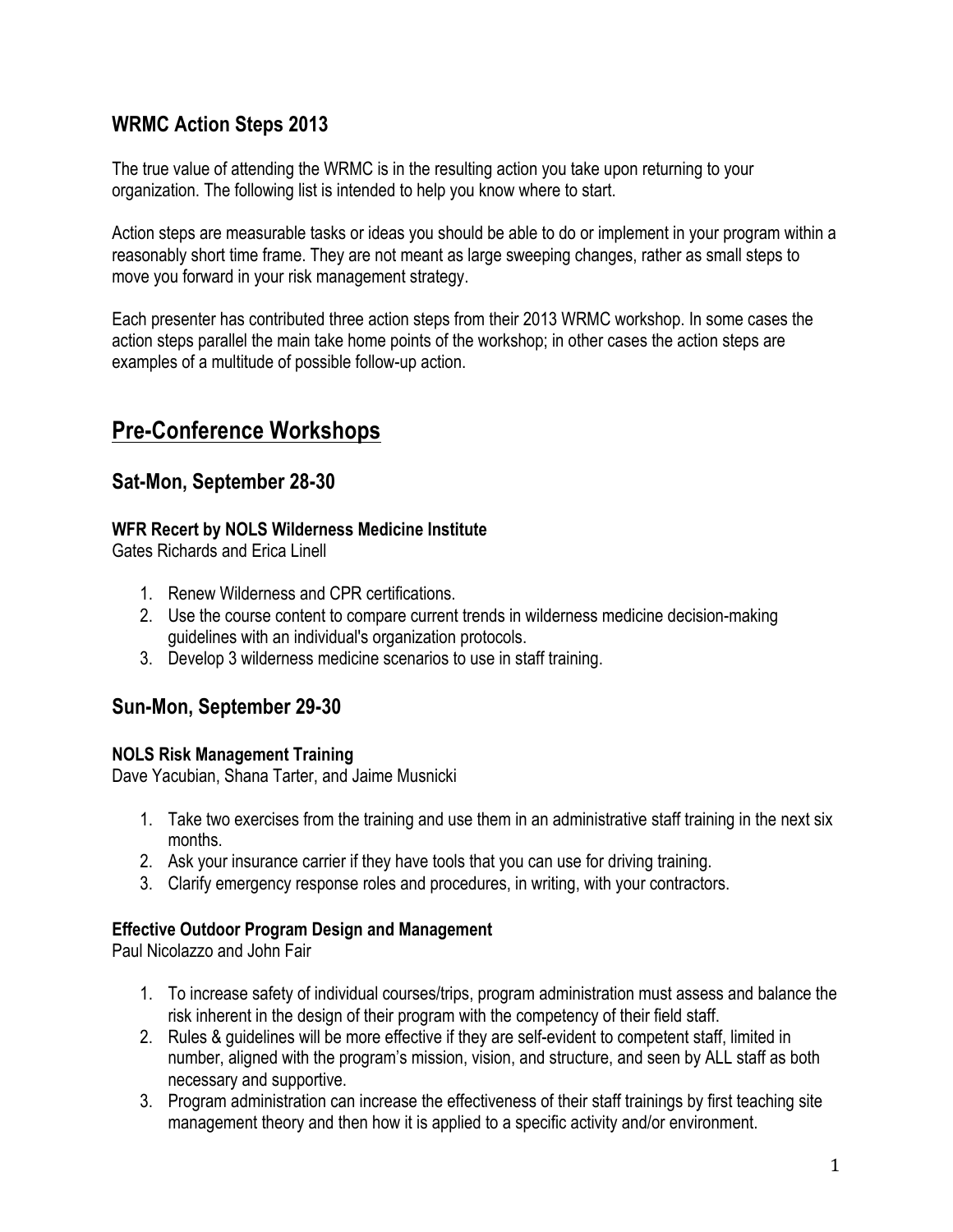### **WRMC Action Steps 2013**

The true value of attending the WRMC is in the resulting action you take upon returning to your organization. The following list is intended to help you know where to start.

Action steps are measurable tasks or ideas you should be able to do or implement in your program within a reasonably short time frame. They are not meant as large sweeping changes, rather as small steps to move you forward in your risk management strategy.

Each presenter has contributed three action steps from their 2013 WRMC workshop. In some cases the action steps parallel the main take home points of the workshop; in other cases the action steps are examples of a multitude of possible follow-up action.

## **Pre-Conference Workshops**

#### **Sat-Mon, September 28-30**

#### **WFR Recert by NOLS Wilderness Medicine Institute**

Gates Richards and Erica Linell

- 1. Renew Wilderness and CPR certifications.
- 2. Use the course content to compare current trends in wilderness medicine decision-making guidelines with an individual's organization protocols.
- 3. Develop 3 wilderness medicine scenarios to use in staff training.

### **Sun-Mon, September 29-30**

#### **NOLS Risk Management Training**

Dave Yacubian, Shana Tarter, and Jaime Musnicki

- 1. Take two exercises from the training and use them in an administrative staff training in the next six months.
- 2. Ask your insurance carrier if they have tools that you can use for driving training.
- 3. Clarify emergency response roles and procedures, in writing, with your contractors.

#### **Effective Outdoor Program Design and Management**

Paul Nicolazzo and John Fair

- 1. To increase safety of individual courses/trips, program administration must assess and balance the risk inherent in the design of their program with the competency of their field staff.
- 2. Rules & guidelines will be more effective if they are self-evident to competent staff, limited in number, aligned with the program's mission, vision, and structure, and seen by ALL staff as both necessary and supportive.
- 3. Program administration can increase the effectiveness of their staff trainings by first teaching site management theory and then how it is applied to a specific activity and/or environment.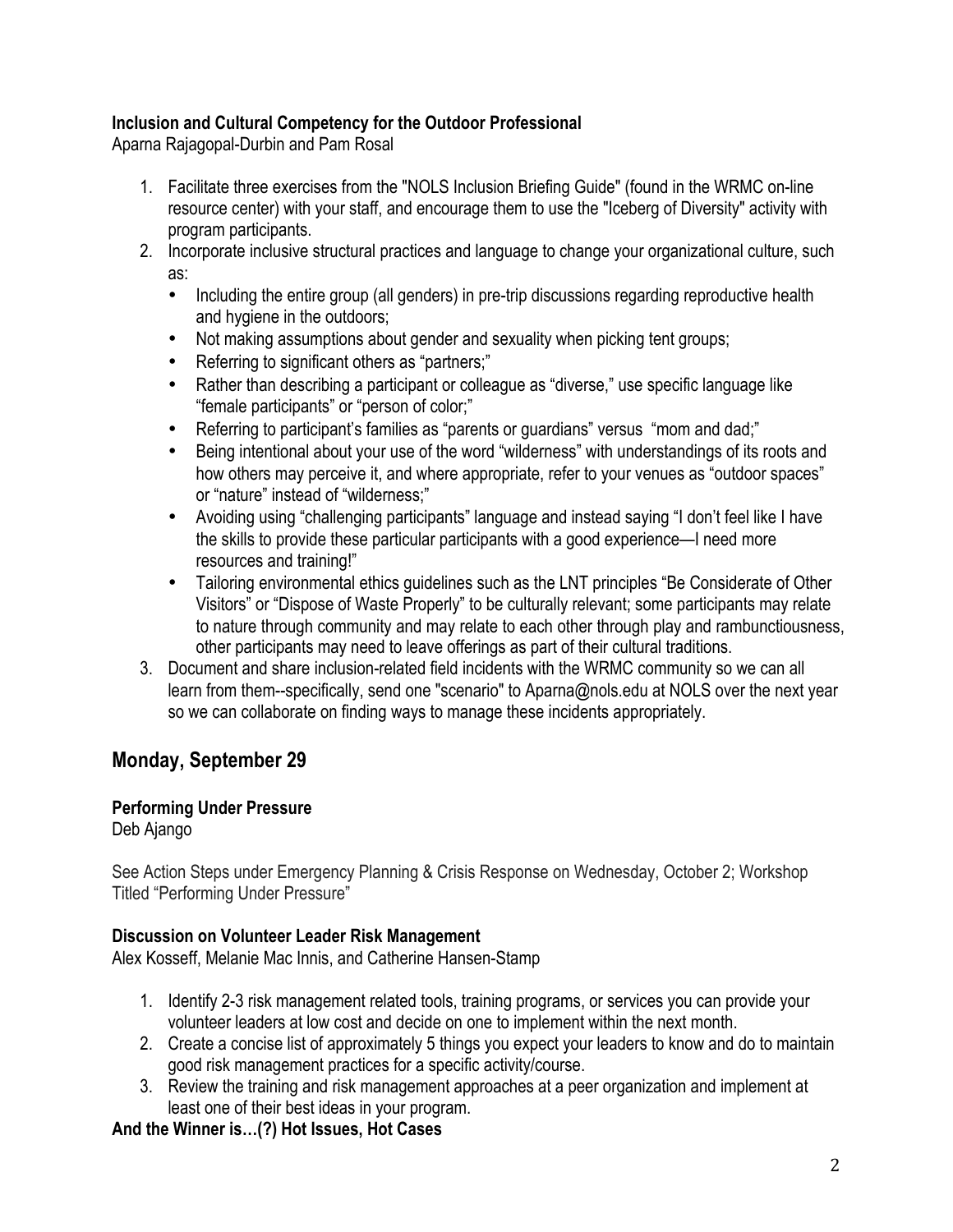#### **Inclusion and Cultural Competency for the Outdoor Professional**

Aparna Rajagopal-Durbin and Pam Rosal

- 1. Facilitate three exercises from the "NOLS Inclusion Briefing Guide" (found in the WRMC on-line resource center) with your staff, and encourage them to use the "Iceberg of Diversity" activity with program participants.
- 2. Incorporate inclusive structural practices and language to change your organizational culture, such as:
	- Including the entire group (all genders) in pre-trip discussions regarding reproductive health and hygiene in the outdoors;
	- Not making assumptions about gender and sexuality when picking tent groups;
	- Referring to significant others as "partners;"
	- Rather than describing a participant or colleague as "diverse," use specific language like "female participants" or "person of color;"
	- Referring to participant's families as "parents or quardians" versus "mom and dad;"
	- Being intentional about your use of the word "wilderness" with understandings of its roots and how others may perceive it, and where appropriate, refer to your venues as "outdoor spaces" or "nature" instead of "wilderness;"
	- Avoiding using "challenging participants" language and instead saying "I don't feel like I have the skills to provide these particular participants with a good experience—I need more resources and training!"
	- Tailoring environmental ethics guidelines such as the LNT principles "Be Considerate of Other Visitors" or "Dispose of Waste Properly" to be culturally relevant; some participants may relate to nature through community and may relate to each other through play and rambunctiousness, other participants may need to leave offerings as part of their cultural traditions.
- 3. Document and share inclusion-related field incidents with the WRMC community so we can all learn from them--specifically, send one "scenario" to Aparna@nols.edu at NOLS over the next year so we can collaborate on finding ways to manage these incidents appropriately.

## **Monday, September 29**

## **Performing Under Pressure**

Deb Ajango

See Action Steps under Emergency Planning & Crisis Response on Wednesday, October 2; Workshop Titled "Performing Under Pressure"

#### **Discussion on Volunteer Leader Risk Management**

Alex Kosseff, Melanie Mac Innis, and Catherine Hansen-Stamp

- 1. Identify 2-3 risk management related tools, training programs, or services you can provide your volunteer leaders at low cost and decide on one to implement within the next month.
- 2. Create a concise list of approximately 5 things you expect your leaders to know and do to maintain good risk management practices for a specific activity/course.
- 3. Review the training and risk management approaches at a peer organization and implement at least one of their best ideas in your program.

#### **And the Winner is…(?) Hot Issues, Hot Cases**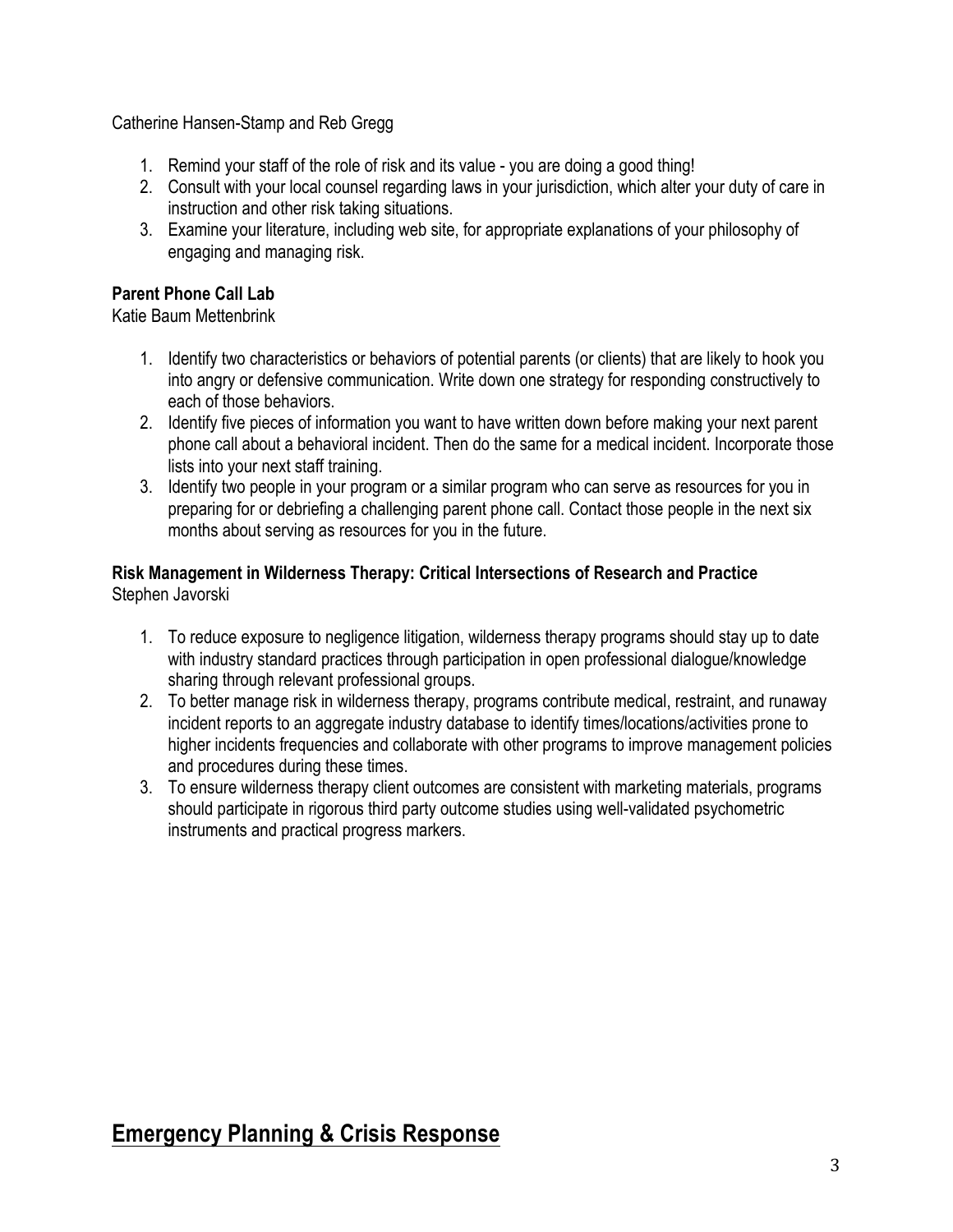Catherine Hansen-Stamp and Reb Gregg

- 1. Remind your staff of the role of risk and its value you are doing a good thing!
- 2. Consult with your local counsel regarding laws in your jurisdiction, which alter your duty of care in instruction and other risk taking situations.
- 3. Examine your literature, including web site, for appropriate explanations of your philosophy of engaging and managing risk.

#### **Parent Phone Call Lab**

Katie Baum Mettenbrink

- 1. Identify two characteristics or behaviors of potential parents (or clients) that are likely to hook you into angry or defensive communication. Write down one strategy for responding constructively to each of those behaviors.
- 2. Identify five pieces of information you want to have written down before making your next parent phone call about a behavioral incident. Then do the same for a medical incident. Incorporate those lists into your next staff training.
- 3. Identify two people in your program or a similar program who can serve as resources for you in preparing for or debriefing a challenging parent phone call. Contact those people in the next six months about serving as resources for you in the future.

#### **Risk Management in Wilderness Therapy: Critical Intersections of Research and Practice** Stephen Javorski

- 1. To reduce exposure to negligence litigation, wilderness therapy programs should stay up to date with industry standard practices through participation in open professional dialogue/knowledge sharing through relevant professional groups.
- 2. To better manage risk in wilderness therapy, programs contribute medical, restraint, and runaway incident reports to an aggregate industry database to identify times/locations/activities prone to higher incidents frequencies and collaborate with other programs to improve management policies and procedures during these times.
- 3. To ensure wilderness therapy client outcomes are consistent with marketing materials, programs should participate in rigorous third party outcome studies using well-validated psychometric instruments and practical progress markers.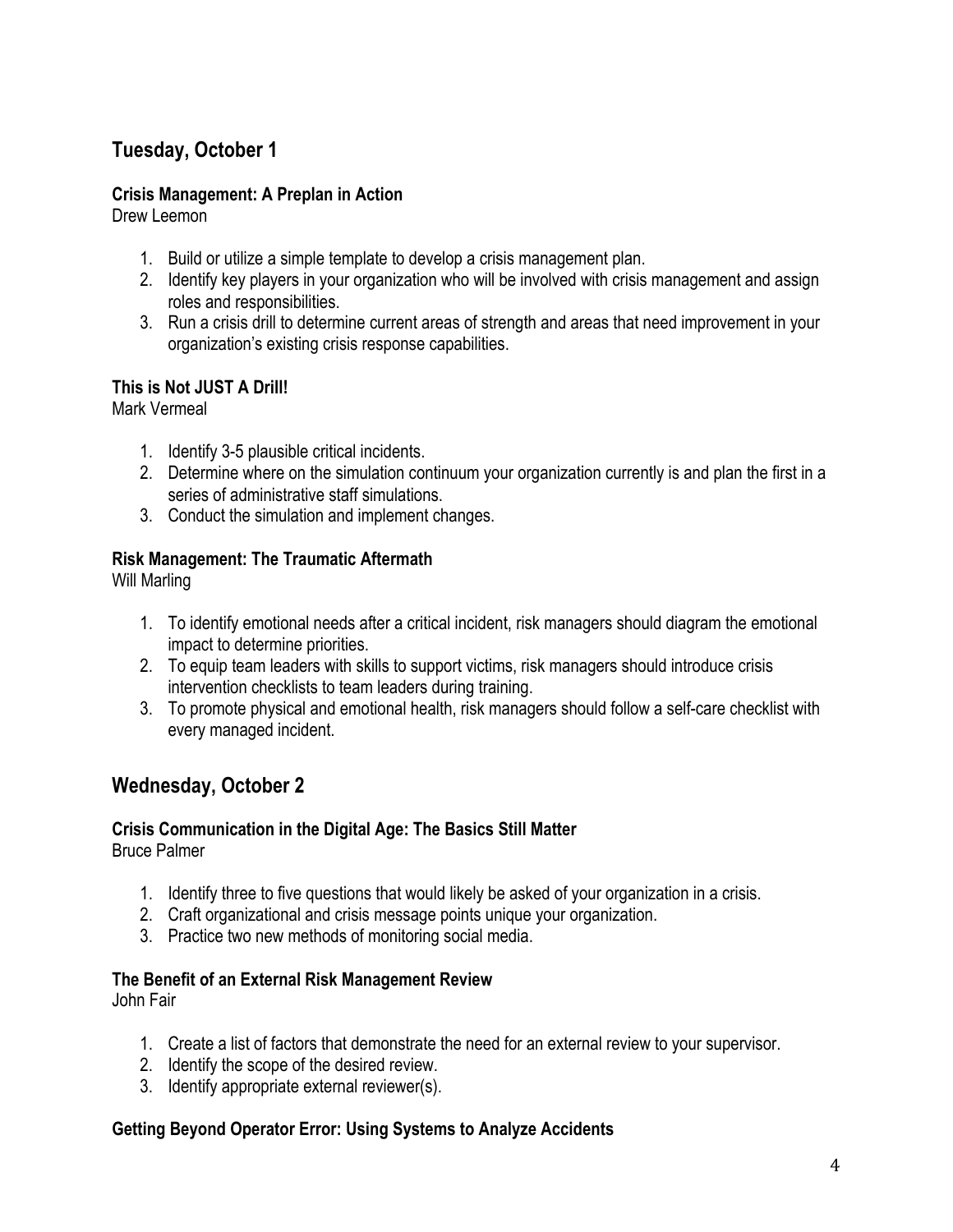## **Tuesday, October 1**

#### **Crisis Management: A Preplan in Action**

Drew Leemon

- 1. Build or utilize a simple template to develop a crisis management plan.
- 2. Identify key players in your organization who will be involved with crisis management and assign roles and responsibilities.
- 3. Run a crisis drill to determine current areas of strength and areas that need improvement in your organization's existing crisis response capabilities.

#### **This is Not JUST A Drill!**

Mark Vermeal

- 1. Identify 3-5 plausible critical incidents.
- 2. Determine where on the simulation continuum your organization currently is and plan the first in a series of administrative staff simulations.
- 3. Conduct the simulation and implement changes.

#### **Risk Management: The Traumatic Aftermath**

Will Marling

- 1. To identify emotional needs after a critical incident, risk managers should diagram the emotional impact to determine priorities.
- 2. To equip team leaders with skills to support victims, risk managers should introduce crisis intervention checklists to team leaders during training.
- 3. To promote physical and emotional health, risk managers should follow a self-care checklist with every managed incident.

### **Wednesday, October 2**

# **Crisis Communication in the Digital Age: The Basics Still Matter**

Bruce Palmer

- 1. Identify three to five questions that would likely be asked of your organization in a crisis.
- 2. Craft organizational and crisis message points unique your organization.
- 3. Practice two new methods of monitoring social media.

#### **The Benefit of an External Risk Management Review**

John Fair

- 1. Create a list of factors that demonstrate the need for an external review to your supervisor.
- 2. Identify the scope of the desired review.
- 3. Identify appropriate external reviewer(s).

#### **Getting Beyond Operator Error: Using Systems to Analyze Accidents**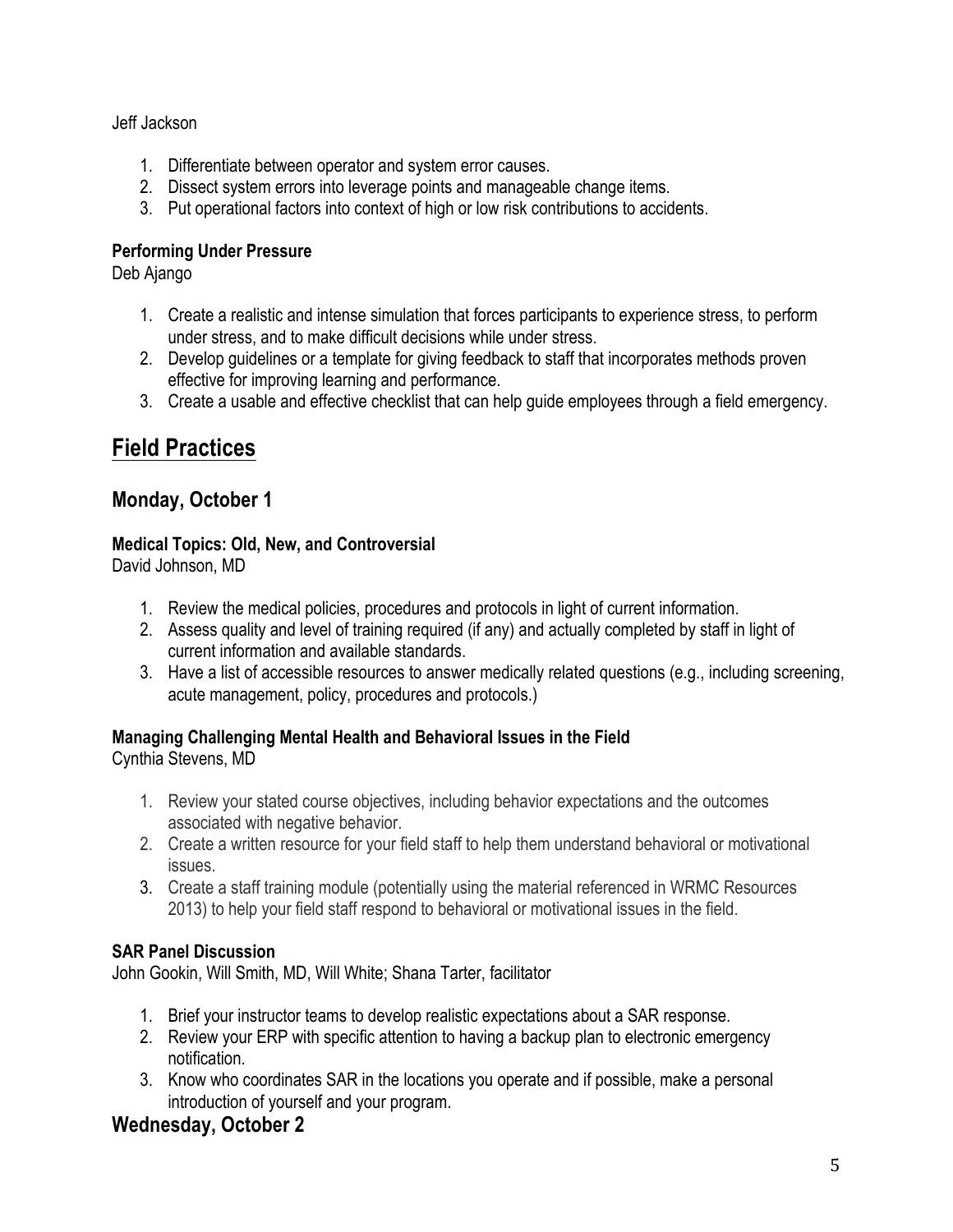Jeff Jackson

- 1. Differentiate between operator and system error causes.
- 2. Dissect system errors into leverage points and manageable change items.
- 3. Put operational factors into context of high or low risk contributions to accidents.

#### **Performing Under Pressure**

Deb Ajango

- 1. Create a realistic and intense simulation that forces participants to experience stress, to perform under stress, and to make difficult decisions while under stress.
- 2. Develop guidelines or a template for giving feedback to staff that incorporates methods proven effective for improving learning and performance.
- 3. Create a usable and effective checklist that can help guide employees through a field emergency.

## **Field Practices**

### **Monday, October 1**

#### **Medical Topics: Old, New, and Controversial**

David Johnson, MD

- 1. Review the medical policies, procedures and protocols in light of current information.
- 2. Assess quality and level of training required (if any) and actually completed by staff in light of current information and available standards.
- 3. Have a list of accessible resources to answer medically related questions (e.g., including screening, acute management, policy, procedures and protocols.)

#### **Managing Challenging Mental Health and Behavioral Issues in the Field**

Cynthia Stevens, MD

- 1. Review your stated course objectives, including behavior expectations and the outcomes associated with negative behavior.
- 2. Create a written resource for your field staff to help them understand behavioral or motivational issues.
- 3. Create a staff training module (potentially using the material referenced in WRMC Resources 2013) to help your field staff respond to behavioral or motivational issues in the field.

#### **SAR Panel Discussion**

John Gookin, Will Smith, MD, Will White; Shana Tarter, facilitator

- 1. Brief your instructor teams to develop realistic expectations about a SAR response.
- 2. Review your ERP with specific attention to having a backup plan to electronic emergency notification.
- 3. Know who coordinates SAR in the locations you operate and if possible, make a personal introduction of yourself and your program.

## **Wednesday, October 2**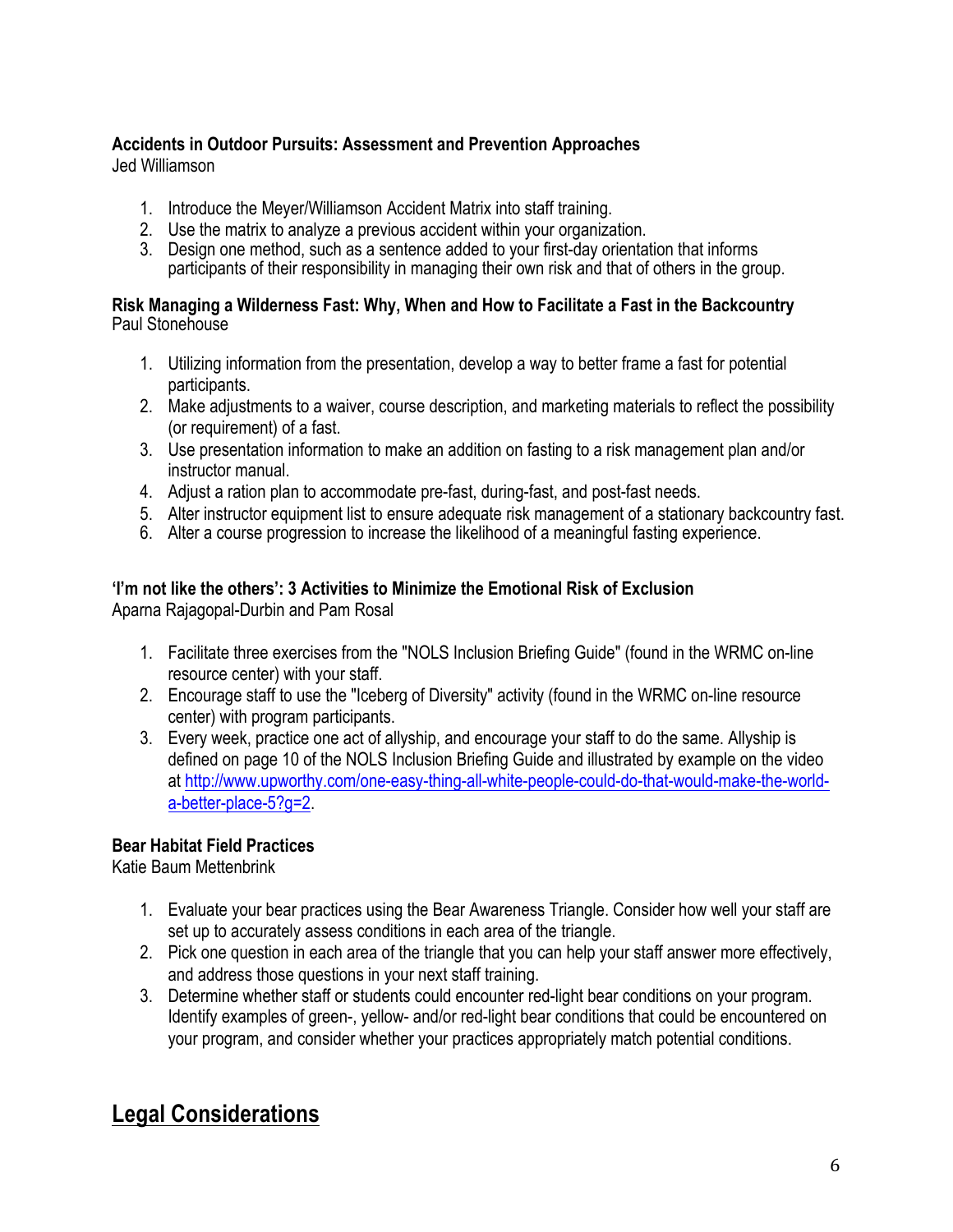#### **Accidents in Outdoor Pursuits: Assessment and Prevention Approaches**

Jed Williamson

- 1. Introduce the Meyer/Williamson Accident Matrix into staff training.
- 2. Use the matrix to analyze a previous accident within your organization.
- 3. Design one method, such as a sentence added to your first-day orientation that informs participants of their responsibility in managing their own risk and that of others in the group.

#### **Risk Managing a Wilderness Fast: Why, When and How to Facilitate a Fast in the Backcountry** Paul Stonehouse

- 1. Utilizing information from the presentation, develop a way to better frame a fast for potential participants.
- 2. Make adjustments to a waiver, course description, and marketing materials to reflect the possibility (or requirement) of a fast.
- 3. Use presentation information to make an addition on fasting to a risk management plan and/or instructor manual.
- 4. Adjust a ration plan to accommodate pre-fast, during-fast, and post-fast needs.
- 5. Alter instructor equipment list to ensure adequate risk management of a stationary backcountry fast.
- 6. Alter a course progression to increase the likelihood of a meaningful fasting experience.

## **'I'm not like the others': 3 Activities to Minimize the Emotional Risk of Exclusion**

Aparna Rajagopal-Durbin and Pam Rosal

- 1. Facilitate three exercises from the "NOLS Inclusion Briefing Guide" (found in the WRMC on-line resource center) with your staff.
- 2. Encourage staff to use the "Iceberg of Diversity" activity (found in the WRMC on-line resource center) with program participants.
- 3. Every week, practice one act of allyship, and encourage your staff to do the same. Allyship is defined on page 10 of the NOLS Inclusion Briefing Guide and illustrated by example on the video at http://www.upworthy.com/one-easy-thing-all-white-people-could-do-that-would-make-the-worlda-better-place-5?g=2.

#### **Bear Habitat Field Practices**

Katie Baum Mettenbrink

- 1. Evaluate your bear practices using the Bear Awareness Triangle. Consider how well your staff are set up to accurately assess conditions in each area of the triangle.
- 2. Pick one question in each area of the triangle that you can help your staff answer more effectively, and address those questions in your next staff training.
- 3. Determine whether staff or students could encounter red-light bear conditions on your program. Identify examples of green-, yellow- and/or red-light bear conditions that could be encountered on your program, and consider whether your practices appropriately match potential conditions.

# **Legal Considerations**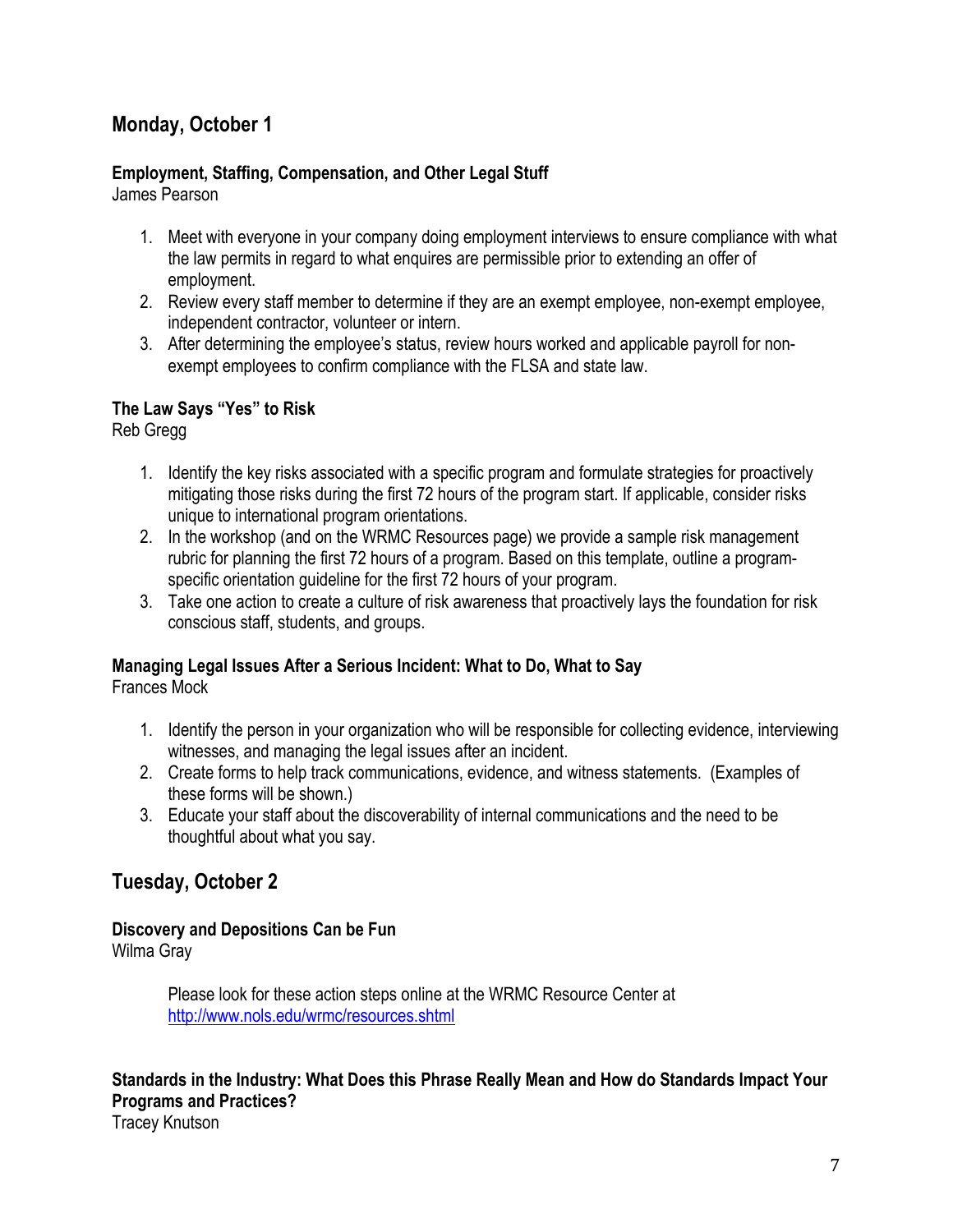## **Monday, October 1**

### **Employment, Staffing, Compensation, and Other Legal Stuff**

James Pearson

- 1. Meet with everyone in your company doing employment interviews to ensure compliance with what the law permits in regard to what enquires are permissible prior to extending an offer of employment.
- 2. Review every staff member to determine if they are an exempt employee, non-exempt employee, independent contractor, volunteer or intern.
- 3. After determining the employee's status, review hours worked and applicable payroll for nonexempt employees to confirm compliance with the FLSA and state law.

#### **The Law Says "Yes" to Risk**

Reb Gregg

- 1. Identify the key risks associated with a specific program and formulate strategies for proactively mitigating those risks during the first 72 hours of the program start. If applicable, consider risks unique to international program orientations.
- 2. In the workshop (and on the WRMC Resources page) we provide a sample risk management rubric for planning the first 72 hours of a program. Based on this template, outline a programspecific orientation guideline for the first 72 hours of your program.
- 3. Take one action to create a culture of risk awareness that proactively lays the foundation for risk conscious staff, students, and groups.

## **Managing Legal Issues After a Serious Incident: What to Do, What to Say**

Frances Mock

- 1. Identify the person in your organization who will be responsible for collecting evidence, interviewing witnesses, and managing the legal issues after an incident.
- 2. Create forms to help track communications, evidence, and witness statements. (Examples of these forms will be shown.)
- 3. Educate your staff about the discoverability of internal communications and the need to be thoughtful about what you say.

## **Tuesday, October 2**

**Discovery and Depositions Can be Fun** Wilma Gray

> Please look for these action steps online at the WRMC Resource Center at http://www.nols.edu/wrmc/resources.shtml

**Standards in the Industry: What Does this Phrase Really Mean and How do Standards Impact Your Programs and Practices?** Tracey Knutson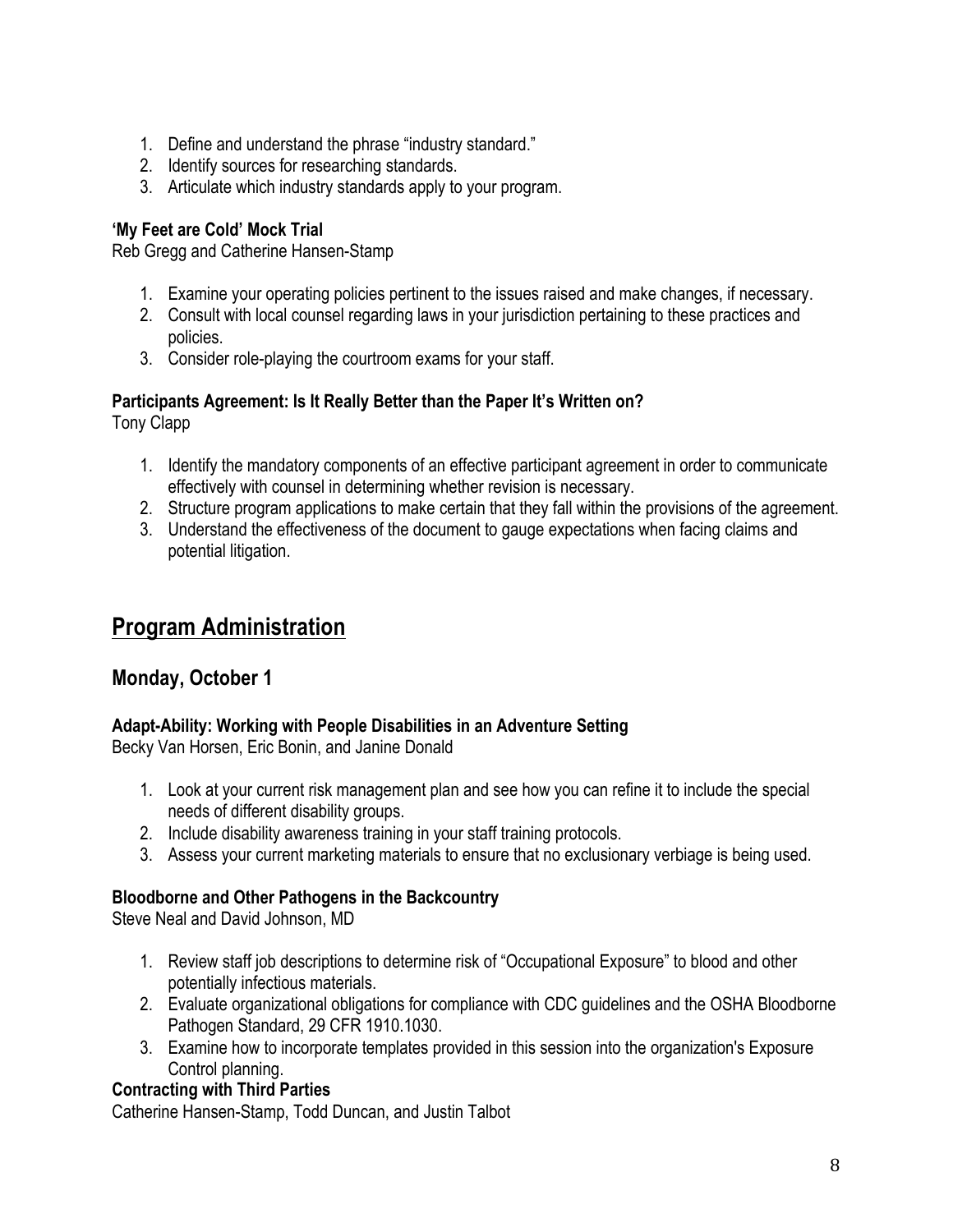- 1. Define and understand the phrase "industry standard."
- 2. Identify sources for researching standards.
- 3. Articulate which industry standards apply to your program.

#### **'My Feet are Cold' Mock Trial**

Reb Gregg and Catherine Hansen-Stamp

- 1. Examine your operating policies pertinent to the issues raised and make changes, if necessary.
- 2. Consult with local counsel regarding laws in your jurisdiction pertaining to these practices and policies.
- 3. Consider role-playing the courtroom exams for your staff.

#### **Participants Agreement: Is It Really Better than the Paper It's Written on?**

Tony Clapp

- 1. Identify the mandatory components of an effective participant agreement in order to communicate effectively with counsel in determining whether revision is necessary.
- 2. Structure program applications to make certain that they fall within the provisions of the agreement.
- 3. Understand the effectiveness of the document to gauge expectations when facing claims and potential litigation.

## **Program Administration**

#### **Monday, October 1**

#### **Adapt-Ability: Working with People Disabilities in an Adventure Setting**

Becky Van Horsen, Eric Bonin, and Janine Donald

- 1. Look at your current risk management plan and see how you can refine it to include the special needs of different disability groups.
- 2. Include disability awareness training in your staff training protocols.
- 3. Assess your current marketing materials to ensure that no exclusionary verbiage is being used.

#### **Bloodborne and Other Pathogens in the Backcountry**

Steve Neal and David Johnson, MD

- 1. Review staff job descriptions to determine risk of "Occupational Exposure" to blood and other potentially infectious materials.
- 2. Evaluate organizational obligations for compliance with CDC guidelines and the OSHA Bloodborne Pathogen Standard, 29 CFR 1910.1030.
- 3. Examine how to incorporate templates provided in this session into the organization's Exposure Control planning.

#### **Contracting with Third Parties**

Catherine Hansen-Stamp, Todd Duncan, and Justin Talbot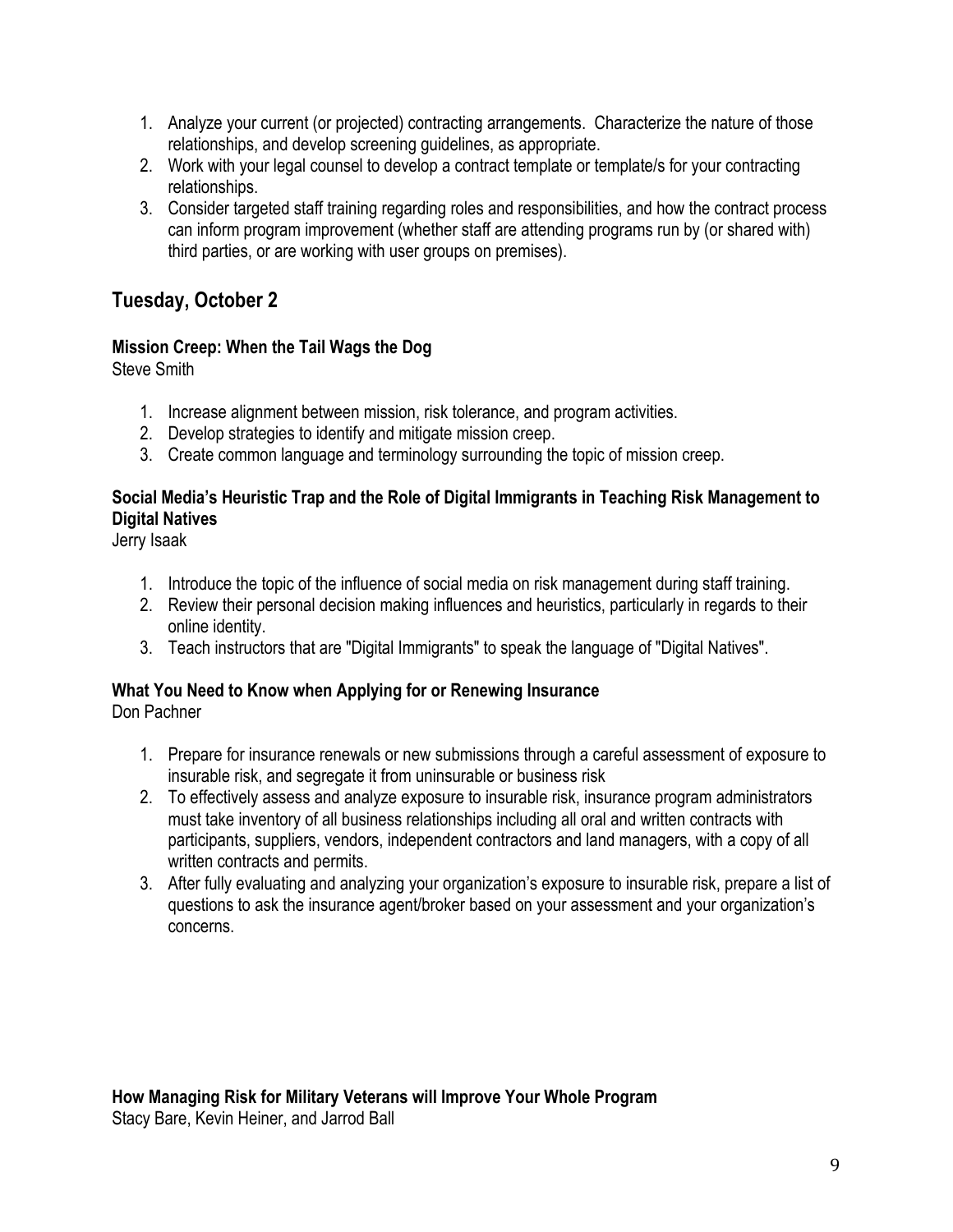- 1. Analyze your current (or projected) contracting arrangements. Characterize the nature of those relationships, and develop screening guidelines, as appropriate.
- 2. Work with your legal counsel to develop a contract template or template/s for your contracting relationships.
- 3. Consider targeted staff training regarding roles and responsibilities, and how the contract process can inform program improvement (whether staff are attending programs run by (or shared with) third parties, or are working with user groups on premises).

## **Tuesday, October 2**

#### **Mission Creep: When the Tail Wags the Dog**

Steve Smith

- 1. Increase alignment between mission, risk tolerance, and program activities.
- 2. Develop strategies to identify and mitigate mission creep.
- 3. Create common language and terminology surrounding the topic of mission creep.

#### **Social Media's Heuristic Trap and the Role of Digital Immigrants in Teaching Risk Management to Digital Natives**

Jerry Isaak

- 1. Introduce the topic of the influence of social media on risk management during staff training.
- 2. Review their personal decision making influences and heuristics, particularly in regards to their online identity.
- 3. Teach instructors that are "Digital Immigrants" to speak the language of "Digital Natives".

## **What You Need to Know when Applying for or Renewing Insurance**

Don Pachner

- 1. Prepare for insurance renewals or new submissions through a careful assessment of exposure to insurable risk, and segregate it from uninsurable or business risk
- 2. To effectively assess and analyze exposure to insurable risk, insurance program administrators must take inventory of all business relationships including all oral and written contracts with participants, suppliers, vendors, independent contractors and land managers, with a copy of all written contracts and permits.
- 3. After fully evaluating and analyzing your organization's exposure to insurable risk, prepare a list of questions to ask the insurance agent/broker based on your assessment and your organization's concerns.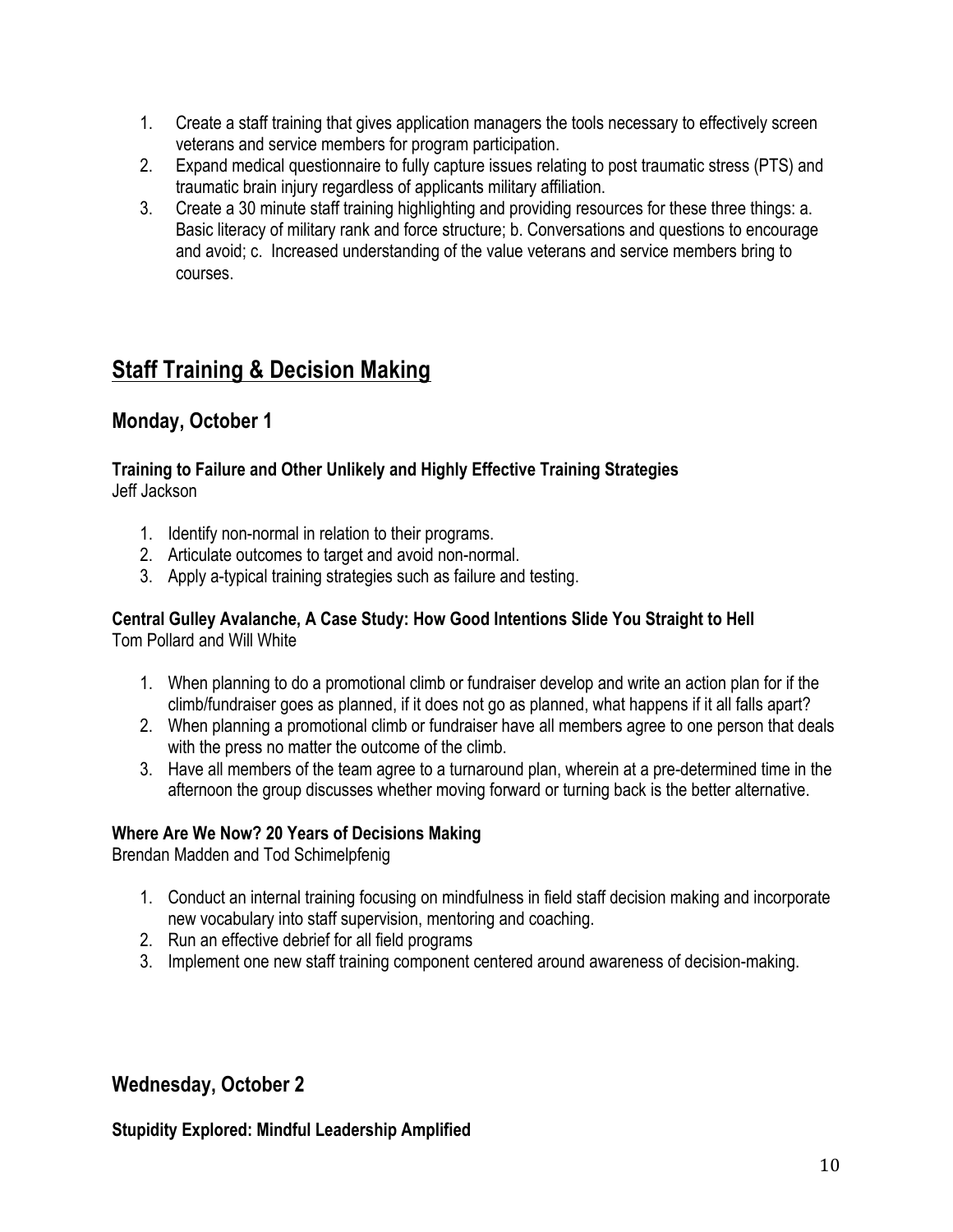- 1. Create a staff training that gives application managers the tools necessary to effectively screen veterans and service members for program participation.
- 2. Expand medical questionnaire to fully capture issues relating to post traumatic stress (PTS) and traumatic brain injury regardless of applicants military affiliation.
- 3. Create a 30 minute staff training highlighting and providing resources for these three things: a. Basic literacy of military rank and force structure; b. Conversations and questions to encourage and avoid; c. Increased understanding of the value veterans and service members bring to courses.

# **Staff Training & Decision Making**

## **Monday, October 1**

#### **Training to Failure and Other Unlikely and Highly Effective Training Strategies** Jeff Jackson

- 1. Identify non-normal in relation to their programs.
- 2. Articulate outcomes to target and avoid non-normal.
- 3. Apply a-typical training strategies such as failure and testing.

#### **Central Gulley Avalanche, A Case Study: How Good Intentions Slide You Straight to Hell**

Tom Pollard and Will White

- 1. When planning to do a promotional climb or fundraiser develop and write an action plan for if the climb/fundraiser goes as planned, if it does not go as planned, what happens if it all falls apart?
- 2. When planning a promotional climb or fundraiser have all members agree to one person that deals with the press no matter the outcome of the climb.
- 3. Have all members of the team agree to a turnaround plan, wherein at a pre-determined time in the afternoon the group discusses whether moving forward or turning back is the better alternative.

#### **Where Are We Now? 20 Years of Decisions Making**

Brendan Madden and Tod Schimelpfenig

- 1. Conduct an internal training focusing on mindfulness in field staff decision making and incorporate new vocabulary into staff supervision, mentoring and coaching.
- 2. Run an effective debrief for all field programs
- 3. Implement one new staff training component centered around awareness of decision-making.

## **Wednesday, October 2**

#### **Stupidity Explored: Mindful Leadership Amplified**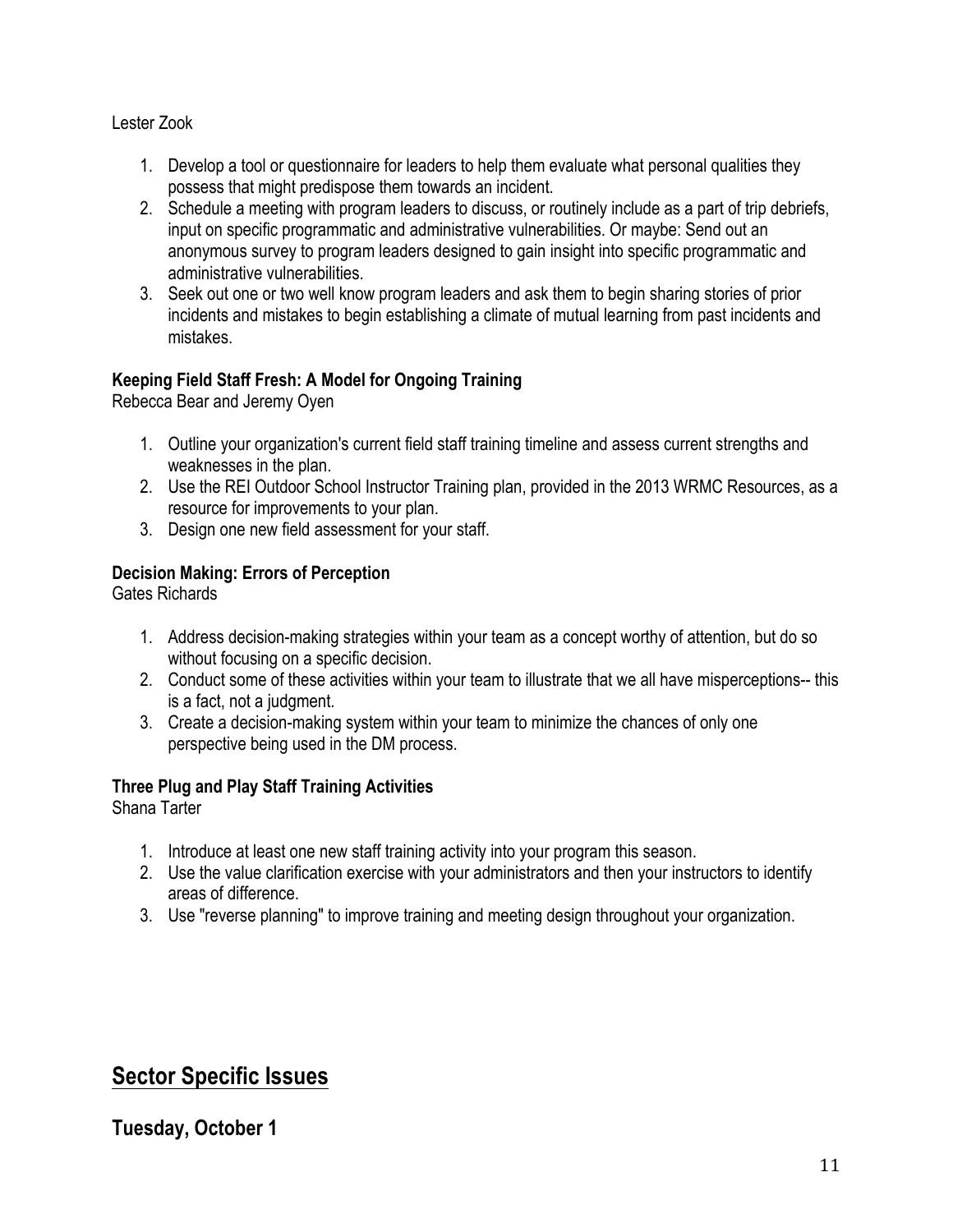Lester Zook

- 1. Develop a tool or questionnaire for leaders to help them evaluate what personal qualities they possess that might predispose them towards an incident.
- 2. Schedule a meeting with program leaders to discuss, or routinely include as a part of trip debriefs, input on specific programmatic and administrative vulnerabilities. Or maybe: Send out an anonymous survey to program leaders designed to gain insight into specific programmatic and administrative vulnerabilities.
- 3. Seek out one or two well know program leaders and ask them to begin sharing stories of prior incidents and mistakes to begin establishing a climate of mutual learning from past incidents and mistakes.

#### **Keeping Field Staff Fresh: A Model for Ongoing Training**

Rebecca Bear and Jeremy Oyen

- 1. Outline your organization's current field staff training timeline and assess current strengths and weaknesses in the plan.
- 2. Use the REI Outdoor School Instructor Training plan, provided in the 2013 WRMC Resources, as a resource for improvements to your plan.
- 3. Design one new field assessment for your staff.

#### **Decision Making: Errors of Perception**

Gates Richards

- 1. Address decision-making strategies within your team as a concept worthy of attention, but do so without focusing on a specific decision.
- 2. Conduct some of these activities within your team to illustrate that we all have misperceptions-- this is a fact, not a judgment.
- 3. Create a decision-making system within your team to minimize the chances of only one perspective being used in the DM process.

#### **Three Plug and Play Staff Training Activities**

Shana Tarter

- 1. Introduce at least one new staff training activity into your program this season.
- 2. Use the value clarification exercise with your administrators and then your instructors to identify areas of difference.
- 3. Use "reverse planning" to improve training and meeting design throughout your organization.

## **Sector Specific Issues**

### **Tuesday, October 1**